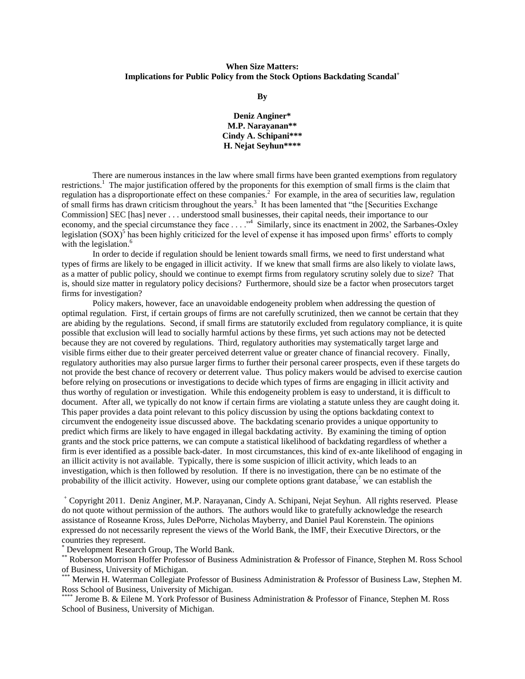# **When Size Matters: Implications for Public Policy from the Stock Options Backdating Scandal<sup>+</sup>**

**By**

**Deniz Anginer\* M.P. Narayanan\*\* Cindy A. Schipani\*\*\* H. Nejat Seyhun\*\*\*\***

There are numerous instances in the law where small firms have been granted exemptions from regulatory restrictions.<sup>1</sup> The major justification offered by the proponents for this exemption of small firms is the claim that regulation has a disproportionate effect on these companies.<sup>2</sup> For example, in the area of securities law, regulation of small firms has drawn criticism throughout the years.<sup>3</sup> It has been lamented that "the [Securities Exchange Commission] SEC [has] never . . . understood small businesses, their capital needs, their importance to our economy, and the special circumstance they face  $\dots$  ..."<sup>4</sup> Similarly, since its enactment in 2002, the Sarbanes-Oxley legislation  $(SOX)^5$  has been highly criticized for the level of expense it has imposed upon firms' efforts to comply with the legislation.<sup>6</sup>

In order to decide if regulation should be lenient towards small firms, we need to first understand what types of firms are likely to be engaged in illicit activity. If we knew that small firms are also likely to violate laws, as a matter of public policy, should we continue to exempt firms from regulatory scrutiny solely due to size? That is, should size matter in regulatory policy decisions? Furthermore, should size be a factor when prosecutors target firms for investigation?

Policy makers, however, face an unavoidable endogeneity problem when addressing the question of optimal regulation. First, if certain groups of firms are not carefully scrutinized, then we cannot be certain that they are abiding by the regulations. Second, if small firms are statutorily excluded from regulatory compliance, it is quite possible that exclusion will lead to socially harmful actions by these firms, yet such actions may not be detected because they are not covered by regulations. Third, regulatory authorities may systematically target large and visible firms either due to their greater perceived deterrent value or greater chance of financial recovery. Finally, regulatory authorities may also pursue larger firms to further their personal career prospects, even if these targets do not provide the best chance of recovery or deterrent value. Thus policy makers would be advised to exercise caution before relying on prosecutions or investigations to decide which types of firms are engaging in illicit activity and thus worthy of regulation or investigation. While this endogeneity problem is easy to understand, it is difficult to document. After all, we typically do not know if certain firms are violating a statute unless they are caught doing it. This paper provides a data point relevant to this policy discussion by using the options backdating context to circumvent the endogeneity issue discussed above. The backdating scenario provides a unique opportunity to predict which firms are likely to have engaged in illegal backdating activity. By examining the timing of option grants and the stock price patterns, we can compute a statistical likelihood of backdating regardless of whether a firm is ever identified as a possible back-dater. In most circumstances, this kind of ex-ante likelihood of engaging in an illicit activity is not available. Typically, there is some suspicion of illicit activity, which leads to an investigation, which is then followed by resolution. If there is no investigation, there can be no estimate of the probability of the illicit activity. However, using our complete options grant database,<sup>7</sup> we can establish the

<sup>+</sup> Copyright 2011. Deniz Anginer, M.P. Narayanan, Cindy A. Schipani, Nejat Seyhun. All rights reserved. Please do not quote without permission of the authors. The authors would like to gratefully acknowledge the research assistance of Roseanne Kross, Jules DePorre, Nicholas Mayberry, and Daniel Paul Korenstein. The opinions expressed do not necessarily represent the views of the World Bank, the IMF, their Executive Directors, or the countries they represent.

\* Development Research Group, The World Bank.

\*\* Roberson Morrison Hoffer Professor of Business Administration & Professor of Finance, Stephen M. Ross School of Business, University of Michigan.

Merwin H. Waterman Collegiate Professor of Business Administration & Professor of Business Law, Stephen M. Ross School of Business, University of Michigan.

Jerome B. & Eilene M. York Professor of Business Administration & Professor of Finance, Stephen M. Ross School of Business, University of Michigan.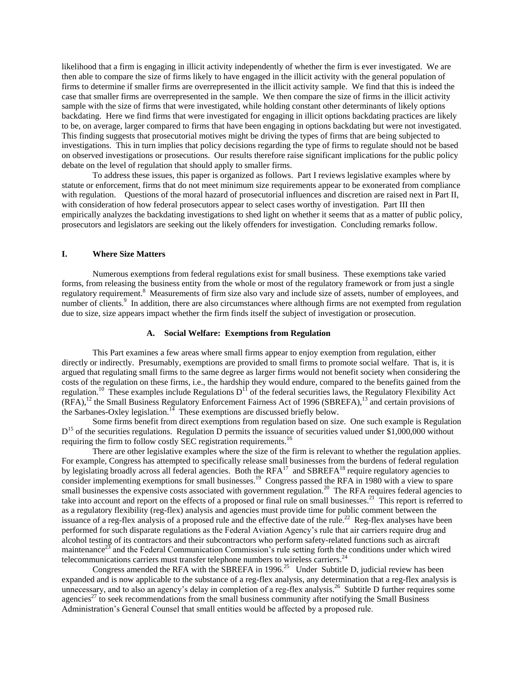likelihood that a firm is engaging in illicit activity independently of whether the firm is ever investigated. We are then able to compare the size of firms likely to have engaged in the illicit activity with the general population of firms to determine if smaller firms are overrepresented in the illicit activity sample. We find that this is indeed the case that smaller firms are overrepresented in the sample. We then compare the size of firms in the illicit activity sample with the size of firms that were investigated, while holding constant other determinants of likely options backdating. Here we find firms that were investigated for engaging in illicit options backdating practices are likely to be, on average, larger compared to firms that have been engaging in options backdating but were not investigated. This finding suggests that prosecutorial motives might be driving the types of firms that are being subjected to investigations. This in turn implies that policy decisions regarding the type of firms to regulate should not be based on observed investigations or prosecutions. Our results therefore raise significant implications for the public policy debate on the level of regulation that should apply to smaller firms.

To address these issues, this paper is organized as follows. Part I reviews legislative examples where by statute or enforcement, firms that do not meet minimum size requirements appear to be exonerated from compliance with regulation. Questions of the moral hazard of prosecutorial influences and discretion are raised next in Part II, with consideration of how federal prosecutors appear to select cases worthy of investigation. Part III then empirically analyzes the backdating investigations to shed light on whether it seems that as a matter of public policy, prosecutors and legislators are seeking out the likely offenders for investigation. Concluding remarks follow.

# **I. Where Size Matters**

Numerous exemptions from federal regulations exist for small business. These exemptions take varied forms, from releasing the business entity from the whole or most of the regulatory framework or from just a single regulatory requirement.<sup>8</sup> Measurements of firm size also vary and include size of assets, number of employees, and number of clients.<sup>9</sup> In addition, there are also circumstances where although firms are not exempted from regulation due to size, size appears impact whether the firm finds itself the subject of investigation or prosecution.

#### **A. Social Welfare: Exemptions from Regulation**

This Part examines a few areas where small firms appear to enjoy exemption from regulation, either directly or indirectly. Presumably, exemptions are provided to small firms to promote social welfare. That is, it is argued that regulating small firms to the same degree as larger firms would not benefit society when considering the costs of the regulation on these firms, i.e., the hardship they would endure, compared to the benefits gained from the regulation.<sup>10</sup> These examples include Regulations  $D<sup>11</sup>$  of the federal securities laws, the Regulatory Flexibility Act (RFA),<sup>12</sup> the Small Business Regulatory Enforcement Fairness Act of 1996 (SBREFA),<sup>13</sup> and certain provisions of the Sarbanes-Oxley legislation.<sup>14</sup> These exemptions are discussed briefly below.

Some firms benefit from direct exemptions from regulation based on size. One such example is Regulation  $D^{15}$  of the securities regulations. Regulation D permits the issuance of securities valued under \$1,000,000 without requiring the firm to follow costly SEC registration requirements.<sup>16</sup>

There are other legislative examples where the size of the firm is relevant to whether the regulation applies. For example, Congress has attempted to specifically release small businesses from the burdens of federal regulation by legislating broadly across all federal agencies. Both the RFA<sup>17</sup> and SBREFA<sup>18</sup> require regulatory agencies to consider implementing exemptions for small businesses.<sup>19</sup> Congress passed the RFA in 1980 with a view to spare small businesses the expensive costs associated with government regulation.<sup>20</sup> The RFA requires federal agencies to take into account and report on the effects of a proposed or final rule on small businesses.<sup>21</sup> This report is referred to as a regulatory flexibility (reg-flex) analysis and agencies must provide time for public comment between the issuance of a reg-flex analysis of a proposed rule and the effective date of the rule.<sup>22</sup> Reg-flex analyses have been performed for such disparate regulations as the Federal Aviation Agency's rule that air carriers require drug and alcohol testing of its contractors and their subcontractors who perform safety-related functions such as aircraft maintenance $^{23}$  and the Federal Communication Commission's rule setting forth the conditions under which wired telecommunications carriers must transfer telephone numbers to wireless carriers.<sup>24</sup>

Congress amended the RFA with the SBREFA in 1996.<sup>25</sup> Under Subtitle D, judicial review has been expanded and is now applicable to the substance of a reg-flex analysis, any determination that a reg-flex analysis is unnecessary, and to also an agency's delay in completion of a reg-flex analysis.<sup>26</sup> Subtitle D further requires some agencies<sup>27</sup> to seek recommendations from the small business community after notifying the Small Business Administration's General Counsel that small entities would be affected by a proposed rule.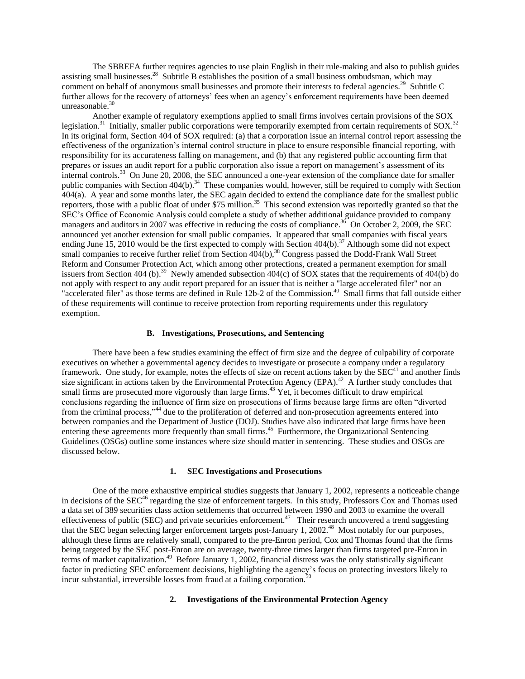The SBREFA further requires agencies to use plain English in their rule-making and also to publish guides assisting small businesses.<sup>28</sup> Subtitle B establishes the position of a small business ombudsman, which may comment on behalf of anonymous small businesses and promote their interests to federal agencies.<sup>29</sup> Subtitle C further allows for the recovery of attorneys' fees when an agency's enforcement requirements have been deemed unreasonable. $30$ 

Another example of regulatory exemptions applied to small firms involves certain provisions of the SOX legislation.<sup>31</sup> Initially, smaller public corporations were temporarily exempted from certain requirements of SOX.<sup>32</sup> In its original form, Section 404 of SOX required: (a) that a corporation issue an internal control report assessing the effectiveness of the organization's internal control structure in place to ensure responsible financial reporting, with responsibility for its accurateness falling on management, and (b) that any registered public accounting firm that prepares or issues an audit report for a public corporation also issue a report on management's assessment of its internal controls.<sup>33</sup> On June 20, 2008, the SEC announced a one-year extension of the compliance date for smaller public companies with Section 404(b).<sup>34</sup> These companies would, however, still be required to comply with Section 404(a). A year and some months later, the SEC again decided to extend the compliance date for the smallest public reporters, those with a public float of under \$75 million.<sup>35</sup> This second extension was reportedly granted so that the SEC's Office of Economic Analysis could complete a study of whether additional guidance provided to company managers and auditors in 2007 was effective in reducing the costs of compliance.<sup>36</sup> On October 2, 2009, the SEC announced yet another extension for small public companies. It appeared that small companies with fiscal years ending June 15, 2010 would be the first expected to comply with Section 404(b).<sup>37</sup> Although some did not expect small companies to receive further relief from Section 404(b),<sup>38</sup> Congress passed the Dodd-Frank Wall Street Reform and Consumer Protection Act, which among other protections, created a permanent exemption for small issuers from Section 404 (b).<sup>39</sup> Newly amended subsection  $404(c)$  of SOX states that the requirements of  $404(b)$  do not apply with respect to any audit report prepared for an issuer that is neither a "large accelerated filer" nor an "accelerated filer" as those terms are defined in Rule 12b-2 of the Commission.<sup>40</sup> Small firms that fall outside either of these requirements will continue to receive protection from reporting requirements under this regulatory exemption.

### **B. Investigations, Prosecutions, and Sentencing**

There have been a few studies examining the effect of firm size and the degree of culpability of corporate executives on whether a governmental agency decides to investigate or prosecute a company under a regulatory framework. One study, for example, notes the effects of size on recent actions taken by the SEC<sup>41</sup> and another finds size significant in actions taken by the Environmental Protection Agency (EPA).<sup>42</sup> A further study concludes that small firms are prosecuted more vigorously than large firms.<sup>43</sup> Yet, it becomes difficult to draw empirical conclusions regarding the influence of firm size on prosecutions of firms because large firms are often "diverted from the criminal process,<sup>344</sup> due to the proliferation of deferred and non-prosecution agreements entered into between companies and the Department of Justice (DOJ). Studies have also indicated that large firms have been entering these agreements more frequently than small firms.<sup>45</sup> Furthermore, the Organizational Sentencing Guidelines (OSGs) outline some instances where size should matter in sentencing. These studies and OSGs are discussed below.

### **1. SEC Investigations and Prosecutions**

One of the more exhaustive empirical studies suggests that January 1, 2002, represents a noticeable change in decisions of the SEC<sup>46</sup> regarding the size of enforcement targets. In this study, Professors Cox and Thomas used a data set of 389 securities class action settlements that occurred between 1990 and 2003 to examine the overall effectiveness of public (SEC) and private securities enforcement.<sup>47</sup> Their research uncovered a trend suggesting that the SEC began selecting larger enforcement targets post-January 1, 2002.<sup>48</sup> Most notably for our purposes, although these firms are relatively small, compared to the pre-Enron period, Cox and Thomas found that the firms being targeted by the SEC post-Enron are on average, twenty-three times larger than firms targeted pre-Enron in terms of market capitalization.<sup>49</sup> Before January 1, 2002, financial distress was the only statistically significant factor in predicting SEC enforcement decisions, highlighting the agency's focus on protecting investors likely to incur substantial, irreversible losses from fraud at a failing corporation.<sup>5</sup>

## **2. Investigations of the Environmental Protection Agency**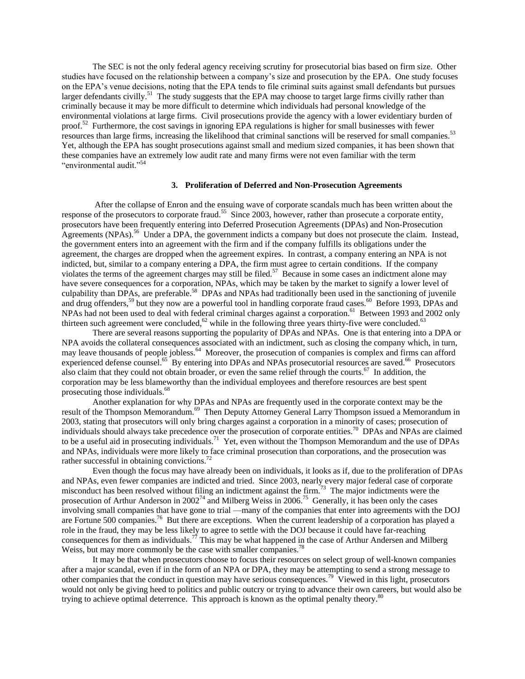The SEC is not the only federal agency receiving scrutiny for prosecutorial bias based on firm size. Other studies have focused on the relationship between a company's size and prosecution by the EPA. One study focuses on the EPA's venue decisions, noting that the EPA tends to file criminal suits against small defendants but pursues larger defendants civilly.<sup>51</sup> The study suggests that the EPA may choose to target large firms civilly rather than criminally because it may be more difficult to determine which individuals had personal knowledge of the environmental violations at large firms. Civil prosecutions provide the agency with a lower evidentiary burden of proof.<sup>52</sup> Furthermore, the cost savings in ignoring EPA regulations is higher for small businesses with fewer resources than large firms, increasing the likelihood that criminal sanctions will be reserved for small companies.<sup>53</sup> Yet, although the EPA has sought prosecutions against small and medium sized companies, it has been shown that these companies have an extremely low audit rate and many firms were not even familiar with the term "environmental audit."<sup>54</sup>

### **3. Proliferation of Deferred and Non-Prosecution Agreements**

After the collapse of Enron and the ensuing wave of corporate scandals much has been written about the response of the prosecutors to corporate fraud.<sup>55</sup> Since 2003, however, rather than prosecute a corporate entity, prosecutors have been frequently entering into Deferred Prosecution Agreements (DPAs) and Non-Prosecution Agreements (NPAs).<sup>56</sup> Under a DPA, the government indicts a company but does not prosecute the claim. Instead, the government enters into an agreement with the firm and if the company fulfills its obligations under the agreement, the charges are dropped when the agreement expires. In contrast, a company entering an NPA is not indicted, but, similar to a company entering a DPA, the firm must agree to certain conditions. If the company violates the terms of the agreement charges may still be filed.<sup>57</sup> Because in some cases an indictment alone may have severe consequences for a corporation, NPAs, which may be taken by the market to signify a lower level of culpability than DPAs, are preferable.<sup>58</sup> DPAs and NPAs had traditionally been used in the sanctioning of juvenile and drug offenders,<sup>59</sup> but they now are a powerful tool in handling corporate fraud cases.<sup>60</sup> Before 1993, DPAs and NPAs had not been used to deal with federal criminal charges against a corporation.<sup>61</sup> Between 1993 and 2002 only thirteen such agreement were concluded,<sup>62</sup> while in the following three years thirty-five were concluded.<sup>63</sup>

There are several reasons supporting the popularity of DPAs and NPAs. One is that entering into a DPA or NPA avoids the collateral consequences associated with an indictment, such as closing the company which, in turn, may leave thousands of people jobless.<sup>64</sup> Moreover, the prosecution of companies is complex and firms can afford experienced defense counsel.<sup>65</sup> By entering into DPAs and NPAs prosecutorial resources are saved.<sup>66</sup> Prosecutors also claim that they could not obtain broader, or even the same relief through the courts.<sup>67</sup> In addition, the corporation may be less blameworthy than the individual employees and therefore resources are best spent prosecuting those individuals.<sup>68</sup>

Another explanation for why DPAs and NPAs are frequently used in the corporate context may be the result of the Thompson Memorandum.<sup>69</sup> Then Deputy Attorney General Larry Thompson issued a Memorandum in 2003, stating that prosecutors will only bring charges against a corporation in a minority of cases; prosecution of individuals should always take precedence over the prosecution of corporate entities.<sup>70</sup> DPAs and NPAs are claimed to be a useful aid in prosecuting individuals.<sup>71</sup> Yet, even without the Thompson Memorandum and the use of DPAs and NPAs, individuals were more likely to face criminal prosecution than corporations, and the prosecution was rather successful in obtaining convictions.<sup>72</sup>

Even though the focus may have already been on individuals, it looks as if, due to the proliferation of DPAs and NPAs, even fewer companies are indicted and tried. Since 2003, nearly every major federal case of corporate misconduct has been resolved without filing an indictment against the firm.<sup>73</sup> The major indictments were the prosecution of Arthur Anderson in  $2002^{74}$  and Milberg Weiss in  $2006$ .<sup>75</sup> Generally, it has been only the cases involving small companies that have gone to trial —many of the companies that enter into agreements with the DOJ are Fortune 500 companies.<sup>76</sup> But there are exceptions. When the current leadership of a corporation has played a role in the fraud, they may be less likely to agree to settle with the DOJ because it could have far-reaching consequences for them as individuals.<sup>77</sup> This may be what happened in the case of Arthur Andersen and Milberg Weiss, but may more commonly be the case with smaller companies.<sup>78</sup>

It may be that when prosecutors choose to focus their resources on select group of well-known companies after a major scandal, even if in the form of an NPA or DPA, they may be attempting to send a strong message to other companies that the conduct in question may have serious consequences.<sup>79</sup> Viewed in this light, prosecutors would not only be giving heed to politics and public outcry or trying to advance their own careers, but would also be trying to achieve optimal deterrence. This approach is known as the optimal penalty theory.<sup>80</sup>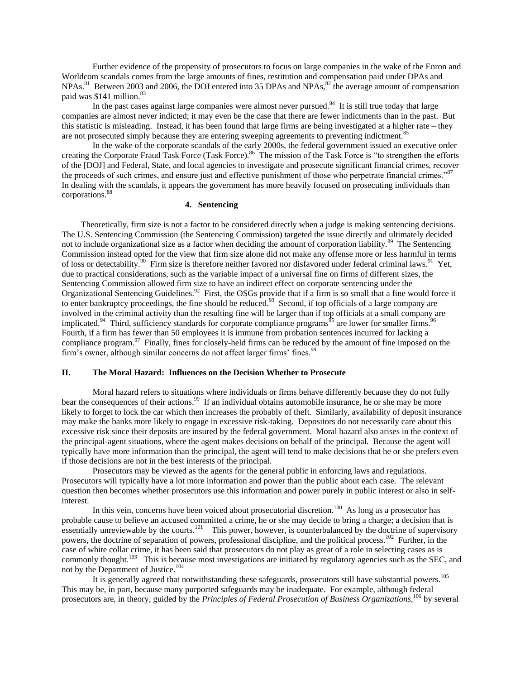Further evidence of the propensity of prosecutors to focus on large companies in the wake of the Enron and Worldcom scandals comes from the large amounts of fines, restitution and compensation paid under DPAs and NPAs.<sup>81</sup> Between 2003 and 2006, the DOJ entered into 35 DPAs and NPAs,<sup>82</sup> the average amount of compensation paid was \$141 million.<sup>83</sup>

In the past cases against large companies were almost never pursued. $84$  It is still true today that large companies are almost never indicted; it may even be the case that there are fewer indictments than in the past. But this statistic is misleading. Instead, it has been found that large firms are being investigated at a higher rate – they are not prosecuted simply because they are entering sweeping agreements to preventing indictment.<sup>85</sup>

In the wake of the corporate scandals of the early 2000s, the federal government issued an executive order creating the Corporate Fraud Task Force (Task Force).<sup>86</sup> The mission of the Task Force is "to strengthen the efforts of the [DOJ] and Federal, State, and local agencies to investigate and prosecute significant financial crimes, recover the proceeds of such crimes, and ensure just and effective punishment of those who perpetrate financial crimes."<sup>87</sup> In dealing with the scandals, it appears the government has more heavily focused on prosecuting individuals than corporations.<sup>88</sup>

# **4. Sentencing**

Theoretically, firm size is not a factor to be considered directly when a judge is making sentencing decisions. The U.S. Sentencing Commission (the Sentencing Commission) targeted the issue directly and ultimately decided not to include organizational size as a factor when deciding the amount of corporation liability.<sup>89</sup> The Sentencing Commission instead opted for the view that firm size alone did not make any offense more or less harmful in terms of loss or detectability.<sup>90</sup> Firm size is therefore neither favored nor disfavored under federal criminal laws.<sup>91</sup> Yet, due to practical considerations, such as the variable impact of a universal fine on firms of different sizes, the Sentencing Commission allowed firm size to have an indirect effect on corporate sentencing under the Organizational Sentencing Guidelines.<sup>92</sup> First, the OSGs provide that if a firm is so small that a fine would force it to enter bankruptcy proceedings, the fine should be reduced. $93$  Second, if top officials of a large company are involved in the criminal activity than the resulting fine will be larger than if top officials at a small company are implicated.<sup>94</sup> Third, sufficiency standards for corporate compliance programs<sup>95</sup> are lower for smaller firms.<sup>96</sup> Fourth, if a firm has fewer than 50 employees it is immune from probation sentences incurred for lacking a compliance program.<sup>97</sup> Finally, fines for closely-held firms can be reduced by the amount of fine imposed on the firm's owner, although similar concerns do not affect larger firms' fines.<sup>9</sup>

## **II. The Moral Hazard: Influences on the Decision Whether to Prosecute**

Moral hazard refers to situations where individuals or firms behave differently because they do not fully bear the consequences of their actions.<sup>99</sup> If an individual obtains automobile insurance, he or she may be more likely to forget to lock the car which then increases the probably of theft. Similarly, availability of deposit insurance may make the banks more likely to engage in excessive risk-taking. Depositors do not necessarily care about this excessive risk since their deposits are insured by the federal government. Moral hazard also arises in the context of the principal-agent situations, where the agent makes decisions on behalf of the principal. Because the agent will typically have more information than the principal, the agent will tend to make decisions that he or she prefers even if those decisions are not in the best interests of the principal.

Prosecutors may be viewed as the agents for the general public in enforcing laws and regulations. Prosecutors will typically have a lot more information and power than the public about each case. The relevant question then becomes whether prosecutors use this information and power purely in public interest or also in selfinterest.

In this vein, concerns have been voiced about prosecutorial discretion.<sup>100</sup> As long as a prosecutor has probable cause to believe an accused committed a crime, he or she may decide to bring a charge; a decision that is essentially unreviewable by the courts.<sup>101</sup> This power, however, is counterbalanced by the doctrine of supervisory powers, the doctrine of separation of powers, professional discipline, and the political process.<sup>102</sup> Further, in the case of white collar crime, it has been said that prosecutors do not play as great of a role in selecting cases as is commonly thought.<sup>103</sup> This is because most investigations are initiated by regulatory agencies such as the SEC, and not by the Department of Justice.<sup>104</sup>

It is generally agreed that notwithstanding these safeguards, prosecutors still have substantial powers.<sup>105</sup> This may be, in part, because many purported safeguards may be inadequate. For example, although federal prosecutors are, in theory, guided by the *Principles of Federal Prosecution of Business Organizations,*<sup>106</sup> by several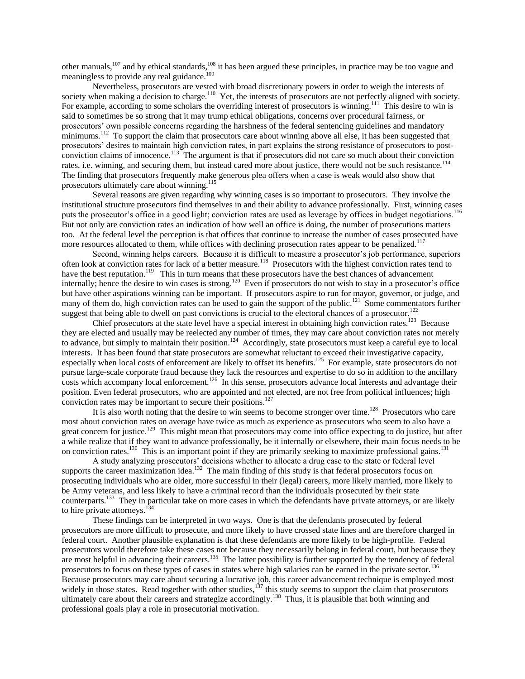other manuals,<sup>107</sup> and by ethical standards,<sup>108</sup> it has been argued these principles, in practice may be too vague and meaningless to provide any real guidance.<sup>109</sup>

Nevertheless, prosecutors are vested with broad discretionary powers in order to weigh the interests of society when making a decision to charge.<sup>110</sup> Yet, the interests of prosecutors are not perfectly aligned with society. For example, according to some scholars the overriding interest of prosecutors is winning.<sup>111</sup> This desire to win is said to sometimes be so strong that it may trump ethical obligations, concerns over procedural fairness, or prosecutors' own possible concerns regarding the harshness of the federal sentencing guidelines and mandatory minimums.<sup>112</sup> To support the claim that prosecutors care about winning above all else, it has been suggested that prosecutors' desires to maintain high conviction rates, in part explains the strong resistance of prosecutors to postconviction claims of innocence.<sup>113</sup> The argument is that if prosecutors did not care so much about their conviction rates, i.e. winning, and securing them, but instead cared more about justice, there would not be such resistance.<sup>114</sup> The finding that prosecutors frequently make generous plea offers when a case is weak would also show that prosecutors ultimately care about winning.<sup>115</sup>

Several reasons are given regarding why winning cases is so important to prosecutors. They involve the institutional structure prosecutors find themselves in and their ability to advance professionally. First, winning cases puts the prosecutor's office in a good light; conviction rates are used as leverage by offices in budget negotiations.<sup>116</sup> But not only are conviction rates an indication of how well an office is doing, the number of prosecutions matters too. At the federal level the perception is that offices that continue to increase the number of cases prosecuted have more resources allocated to them, while offices with declining prosecution rates appear to be penalized.<sup>117</sup>

Second, winning helps careers. Because it is difficult to measure a prosecutor's job performance, superiors often look at conviction rates for lack of a better measure.<sup>118</sup> Prosecutors with the highest conviction rates tend to have the best reputation.<sup>119</sup> This in turn means that these prosecutors have the best chances of advancement internally; hence the desire to win cases is strong.<sup>120</sup> Even if prosecutors do not wish to stay in a prosecutor's office but have other aspirations winning can be important. If prosecutors aspire to run for mayor, governor, or judge, and many of them do, high conviction rates can be used to gain the support of the public.<sup>121</sup> Some commentators further suggest that being able to dwell on past convictions is crucial to the electoral chances of a prosecutor.<sup>122</sup>

Chief prosecutors at the state level have a special interest in obtaining high conviction rates.<sup>123</sup> Because they are elected and usually may be reelected any number of times, they may care about conviction rates not merely to advance, but simply to maintain their position.<sup>124</sup> Accordingly, state prosecutors must keep a careful eye to local interests. It has been found that state prosecutors are somewhat reluctant to exceed their investigative capacity, especially when local costs of enforcement are likely to offset its benefits.<sup>125</sup> For example, state prosecutors do not pursue large-scale corporate fraud because they lack the resources and expertise to do so in addition to the ancillary costs which accompany local enforcement.<sup>126</sup> In this sense, prosecutors advance local interests and advantage their position. Even federal prosecutors, who are appointed and not elected, are not free from political influences; high conviction rates may be important to secure their positions.<sup>127</sup>

It is also worth noting that the desire to win seems to become stronger over time.<sup>128</sup> Prosecutors who care most about conviction rates on average have twice as much as experience as prosecutors who seem to also have a great concern for justice.<sup>129</sup> This might mean that prosecutors may come into office expecting to do justice, but after a while realize that if they want to advance professionally, be it internally or elsewhere, their main focus needs to be on conviction rates.<sup>130</sup> This is an important point if they are primarily seeking to maximize professional gains.<sup>131</sup>

A study analyzing prosecutors' decisions whether to allocate a drug case to the state or federal level supports the career maximization idea.<sup>132</sup> The main finding of this study is that federal prosecutors focus on prosecuting individuals who are older, more successful in their (legal) careers, more likely married, more likely to be Army veterans, and less likely to have a criminal record than the individuals prosecuted by their state counterparts.<sup>133</sup> They in particular take on more cases in which the defendants have private attorneys, or are likely to hire private attorneys.<sup>134</sup>

These findings can be interpreted in two ways. One is that the defendants prosecuted by federal prosecutors are more difficult to prosecute, and more likely to have crossed state lines and are therefore charged in federal court. Another plausible explanation is that these defendants are more likely to be high-profile. Federal prosecutors would therefore take these cases not because they necessarily belong in federal court, but because they are most helpful in advancing their careers.<sup>135</sup> The latter possibility is further supported by the tendency of federal prosecutors to focus on these types of cases in states where high salaries can be earned in the private sector.<sup>136</sup> Because prosecutors may care about securing a lucrative job, this career advancement technique is employed most widely in those states. Read together with other studies, $137$  this study seems to support the claim that prosecutors ultimately care about their careers and strategize accordingly.<sup>138</sup> Thus, it is plausible that both winning and professional goals play a role in prosecutorial motivation.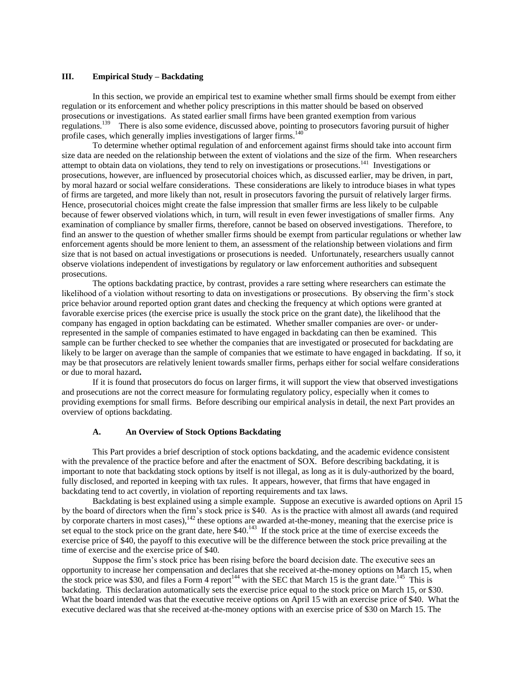## **III. Empirical Study – Backdating**

In this section, we provide an empirical test to examine whether small firms should be exempt from either regulation or its enforcement and whether policy prescriptions in this matter should be based on observed prosecutions or investigations. As stated earlier small firms have been granted exemption from various regulations.<sup>139</sup> There is also some evidence, discussed above, pointing to prosecutors favoring pursuit of higher profile cases, which generally implies investigations of larger firms.<sup>140</sup>

To determine whether optimal regulation of and enforcement against firms should take into account firm size data are needed on the relationship between the extent of violations and the size of the firm. When researchers attempt to obtain data on violations, they tend to rely on investigations or prosecutions.<sup>141</sup> Investigations or prosecutions, however, are influenced by prosecutorial choices which, as discussed earlier, may be driven, in part, by moral hazard or social welfare considerations. These considerations are likely to introduce biases in what types of firms are targeted, and more likely than not, result in prosecutors favoring the pursuit of relatively larger firms. Hence, prosecutorial choices might create the false impression that smaller firms are less likely to be culpable because of fewer observed violations which, in turn, will result in even fewer investigations of smaller firms. Any examination of compliance by smaller firms, therefore, cannot be based on observed investigations. Therefore, to find an answer to the question of whether smaller firms should be exempt from particular regulations or whether law enforcement agents should be more lenient to them, an assessment of the relationship between violations and firm size that is not based on actual investigations or prosecutions is needed. Unfortunately, researchers usually cannot observe violations independent of investigations by regulatory or law enforcement authorities and subsequent prosecutions.

The options backdating practice, by contrast, provides a rare setting where researchers can estimate the likelihood of a violation without resorting to data on investigations or prosecutions. By observing the firm's stock price behavior around reported option grant dates and checking the frequency at which options were granted at favorable exercise prices (the exercise price is usually the stock price on the grant date), the likelihood that the company has engaged in option backdating can be estimated. Whether smaller companies are over- or underrepresented in the sample of companies estimated to have engaged in backdating can then be examined. This sample can be further checked to see whether the companies that are investigated or prosecuted for backdating are likely to be larger on average than the sample of companies that we estimate to have engaged in backdating. If so, it may be that prosecutors are relatively lenient towards smaller firms, perhaps either for social welfare considerations or due to moral hazard**.** 

If it is found that prosecutors do focus on larger firms, it will support the view that observed investigations and prosecutions are not the correct measure for formulating regulatory policy, especially when it comes to providing exemptions for small firms. Before describing our empirical analysis in detail, the next Part provides an overview of options backdating.

### **A. An Overview of Stock Options Backdating**

This Part provides a brief description of stock options backdating, and the academic evidence consistent with the prevalence of the practice before and after the enactment of SOX. Before describing backdating, it is important to note that backdating stock options by itself is not illegal, as long as it is duly-authorized by the board, fully disclosed, and reported in keeping with tax rules. It appears, however, that firms that have engaged in backdating tend to act covertly, in violation of reporting requirements and tax laws.

Backdating is best explained using a simple example. Suppose an executive is awarded options on April 15 by the board of directors when the firm's stock price is \$40. As is the practice with almost all awards (and required by corporate charters in most cases),<sup>142</sup> these options are awarded at-the-money, meaning that the exercise price is set equal to the stock price on the grant date, here  $$40.<sup>143</sup>$  If the stock price at the time of exercise exceeds the exercise price of \$40, the payoff to this executive will be the difference between the stock price prevailing at the time of exercise and the exercise price of \$40.

Suppose the firm's stock price has been rising before the board decision date. The executive sees an opportunity to increase her compensation and declares that she received at-the-money options on March 15, when the stock price was \$30, and files a Form 4 report<sup>144</sup> with the SEC that March 15 is the grant date.<sup>145</sup> This is backdating. This declaration automatically sets the exercise price equal to the stock price on March 15, or \$30. What the board intended was that the executive receive options on April 15 with an exercise price of \$40. What the executive declared was that she received at-the-money options with an exercise price of \$30 on March 15. The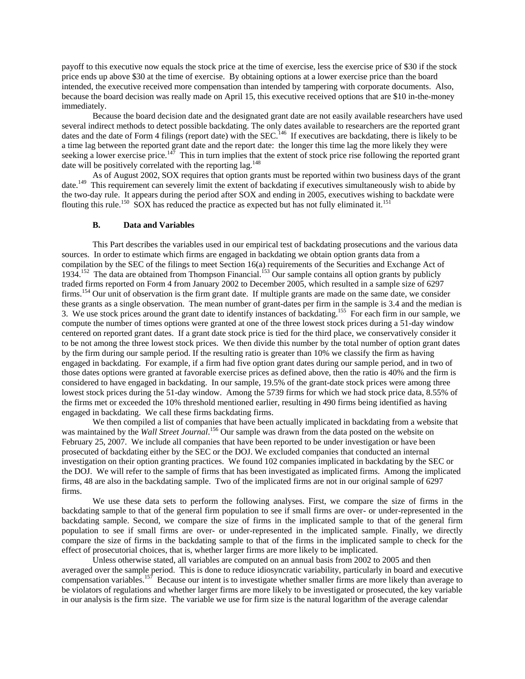payoff to this executive now equals the stock price at the time of exercise, less the exercise price of \$30 if the stock price ends up above \$30 at the time of exercise. By obtaining options at a lower exercise price than the board intended, the executive received more compensation than intended by tampering with corporate documents. Also, because the board decision was really made on April 15, this executive received options that are \$10 in-the-money immediately.

Because the board decision date and the designated grant date are not easily available researchers have used several indirect methods to detect possible backdating. The only dates available to researchers are the reported grant dates and the date of Form 4 filings (report date) with the SEC.<sup>146</sup> If executives are backdating, there is likely to be a time lag between the reported grant date and the report date: the longer this time lag the more likely they were seeking a lower exercise price.<sup>147</sup> This in turn implies that the extent of stock price rise following the reported grant date will be positively correlated with the reporting lag.<sup>148</sup>

As of August 2002, SOX requires that option grants must be reported within two business days of the grant date.<sup>149</sup> This requirement can severely limit the extent of backdating if executives simultaneously wish to abide by the two-day rule. It appears during the period after SOX and ending in 2005, executives wishing to backdate were flouting this rule.<sup>150</sup> SOX has reduced the practice as expected but has not fully eliminated it.<sup>151</sup>

### **B. Data and Variables**

This Part describes the variables used in our empirical test of backdating prosecutions and the various data sources. In order to estimate which firms are engaged in backdating we obtain option grants data from a compilation by the SEC of the filings to meet Section 16(a) requirements of the Securities and Exchange Act of 1934.<sup>152</sup> The data are obtained from Thompson Financial.<sup>153</sup> Our sample contains all option grants by publicly traded firms reported on Form 4 from January 2002 to December 2005, which resulted in a sample size of 6297 firms.<sup>154</sup> Our unit of observation is the firm grant date. If multiple grants are made on the same date, we consider these grants as a single observation. The mean number of grant-dates per firm in the sample is 3.4 and the median is 3. We use stock prices around the grant date to identify instances of backdating.<sup>155</sup> For each firm in our sample, we compute the number of times options were granted at one of the three lowest stock prices during a 51-day window centered on reported grant dates. If a grant date stock price is tied for the third place, we conservatively consider it to be not among the three lowest stock prices. We then divide this number by the total number of option grant dates by the firm during our sample period. If the resulting ratio is greater than 10% we classify the firm as having engaged in backdating. For example, if a firm had five option grant dates during our sample period, and in two of those dates options were granted at favorable exercise prices as defined above, then the ratio is 40% and the firm is considered to have engaged in backdating. In our sample, 19.5% of the grant-date stock prices were among three lowest stock prices during the 51-day window. Among the 5739 firms for which we had stock price data, 8.55% of the firms met or exceeded the 10% threshold mentioned earlier, resulting in 490 firms being identified as having engaged in backdating. We call these firms backdating firms.

We then compiled a list of companies that have been actually implicated in backdating from a website that was maintained by the *Wall Street Journal*. <sup>156</sup> Our sample was drawn from the data posted on the website on February 25, 2007. We include all companies that have been reported to be under investigation or have been prosecuted of backdating either by the SEC or the DOJ. We excluded companies that conducted an internal investigation on their option granting practices. We found 102 companies implicated in backdating by the SEC or the DOJ. We will refer to the sample of firms that has been investigated as implicated firms. Among the implicated firms, 48 are also in the backdating sample. Two of the implicated firms are not in our original sample of 6297 firms.

We use these data sets to perform the following analyses. First, we compare the size of firms in the backdating sample to that of the general firm population to see if small firms are over- or under-represented in the backdating sample. Second, we compare the size of firms in the implicated sample to that of the general firm population to see if small firms are over- or under-represented in the implicated sample. Finally, we directly compare the size of firms in the backdating sample to that of the firms in the implicated sample to check for the effect of prosecutorial choices, that is, whether larger firms are more likely to be implicated.

Unless otherwise stated, all variables are computed on an annual basis from 2002 to 2005 and then averaged over the sample period. This is done to reduce idiosyncratic variability, particularly in board and executive compensation variables.<sup>157</sup> Because our intent is to investigate whether smaller firms are more likely than average to be violators of regulations and whether larger firms are more likely to be investigated or prosecuted, the key variable in our analysis is the firm size. The variable we use for firm size is the natural logarithm of the average calendar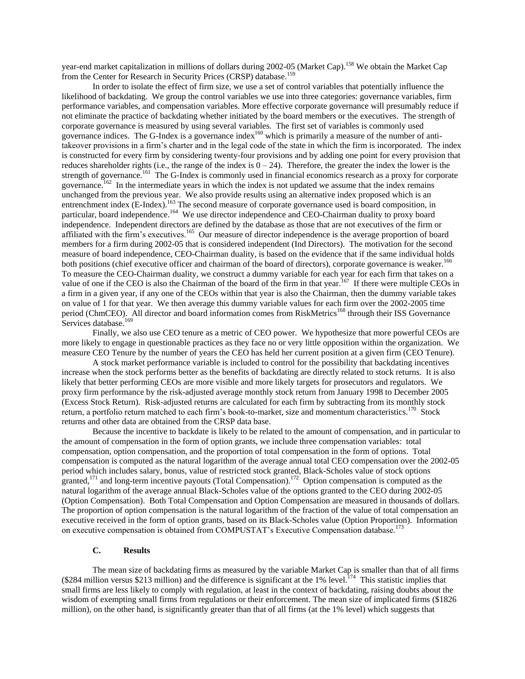year-end market capitalization in millions of dollars during 2002-05 (Market Cap).<sup>158</sup> We obtain the Market Cap from the Center for Research in Security Prices (CRSP) database.<sup>159</sup>

In order to isolate the effect of firm size, we use a set of control variables that potentially influence the likelihood of backdating. We group the control variables we use into three categories: governance variables, firm performance variables, and compensation variables. More effective corporate governance will presumably reduce if not eliminate the practice of backdating whether initiated by the board members or the executives. The strength of corporate governance is measured by using several variables. The first set of variables is commonly used governance indices. The G-Index is a governance index<sup>160</sup> which is primarily a measure of the number of antitakeover provisions in a firm's charter and in the legal code of the state in which the firm is incorporated. The index is constructed for every firm by considering twenty-four provisions and by adding one point for every provision that reduces shareholder rights (i.e., the range of the index is  $\overline{0} - 24$ ). Therefore, the greater the index the lower is the strength of governance.<sup>161</sup> The G-Index is commonly used in financial economics research as a proxy for corporate governance.<sup>162</sup> In the intermediate years in which the index is not updated we assume that the index remains unchanged from the previous year. We also provide results using an alternative index proposed which is an entrenchment index (E-Index).<sup>163</sup> The second measure of corporate governance used is board composition, in particular, board independence.<sup>164</sup> We use director independence and CEO-Chairman duality to proxy board independence. Independent directors are defined by the database as those that are not executives of the firm or affiliated with the firm's executives.<sup>165</sup> Our measure of director independence is the average proportion of board members for a firm during 2002-05 that is considered independent (Ind Directors). The motivation for the second measure of board independence, CEO-Chairman duality, is based on the evidence that if the same individual holds both positions (chief executive officer and chairman of the board of directors), corporate governance is weaker.<sup>166</sup> To measure the CEO-Chairman duality, we construct a dummy variable for each year for each firm that takes on a value of one if the CEO is also the Chairman of the board of the firm in that year.<sup>167</sup> If there were multiple CEOs in a firm in a given year, if any one of the CEOs within that year is also the Chairman, then the dummy variable takes on value of 1 for that year. We then average this dummy variable values for each firm over the 2002-2005 time period (ChmCEO). All director and board information comes from RiskMetrics<sup>168</sup> through their ISS Governance Services database.<sup>169</sup>

Finally, we also use CEO tenure as a metric of CEO power. We hypothesize that more powerful CEOs are more likely to engage in questionable practices as they face no or very little opposition within the organization. We measure CEO Tenure by the number of years the CEO has held her current position at a given firm (CEO Tenure).

A stock market performance variable is included to control for the possibility that backdating incentives increase when the stock performs better as the benefits of backdating are directly related to stock returns. It is also likely that better performing CEOs are more visible and more likely targets for prosecutors and regulators. We proxy firm performance by the risk-adjusted average monthly stock return from January 1998 to December 2005 (Excess Stock Return). Risk-adjusted returns are calculated for each firm by subtracting from its monthly stock return, a portfolio return matched to each firm's book-to-market, size and momentum characteristics.<sup>170</sup> Stock returns and other data are obtained from the CRSP data base.

Because the incentive to backdate is likely to be related to the amount of compensation, and in particular to the amount of compensation in the form of option grants, we include three compensation variables: total compensation, option compensation, and the proportion of total compensation in the form of options. Total compensation is computed as the natural logarithm of the average annual total CEO compensation over the 2002-05 period which includes salary, bonus, value of restricted stock granted, Black-Scholes value of stock options granted,<sup>171</sup> and long-term incentive payouts (Total Compensation).<sup>172</sup> Option compensation is computed as the natural logarithm of the average annual Black-Scholes value of the options granted to the CEO during 2002-05 (Option Compensation). Both Total Compensation and Option Compensation are measured in thousands of dollars. The proportion of option compensation is the natural logarithm of the fraction of the value of total compensation an executive received in the form of option grants, based on its Black-Scholes value (Option Proportion). Information on executive compensation is obtained from COMPUSTAT's Executive Compensation database.<sup>173</sup>

### **C. Results**

The mean size of backdating firms as measured by the variable Market Cap is smaller than that of all firms (\$284 million versus \$213 million) and the difference is significant at the  $1\%$  level.<sup>174</sup> This statistic implies that small firms are less likely to comply with regulation, at least in the context of backdating, raising doubts about the wisdom of exempting small firms from regulations or their enforcement. The mean size of implicated firms (\$1826 million), on the other hand, is significantly greater than that of all firms (at the 1% level) which suggests that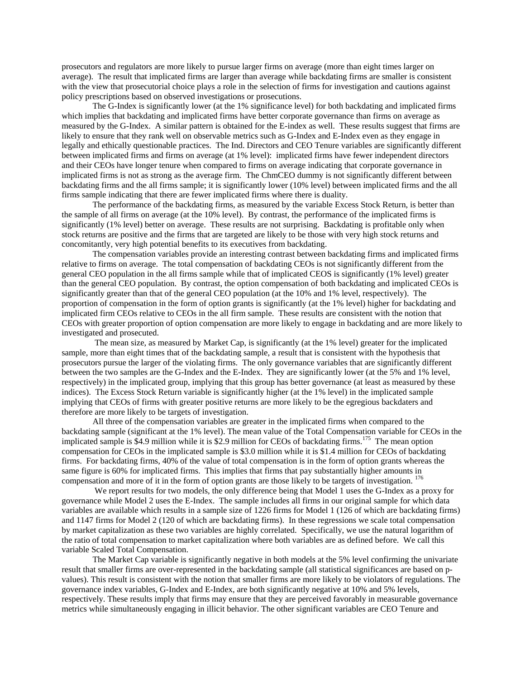prosecutors and regulators are more likely to pursue larger firms on average (more than eight times larger on average). The result that implicated firms are larger than average while backdating firms are smaller is consistent with the view that prosecutorial choice plays a role in the selection of firms for investigation and cautions against policy prescriptions based on observed investigations or prosecutions.

The G-Index is significantly lower (at the 1% significance level) for both backdating and implicated firms which implies that backdating and implicated firms have better corporate governance than firms on average as measured by the G-Index. A similar pattern is obtained for the E-index as well. These results suggest that firms are likely to ensure that they rank well on observable metrics such as G-Index and E-Index even as they engage in legally and ethically questionable practices. The Ind. Directors and CEO Tenure variables are significantly different between implicated firms and firms on average (at 1% level): implicated firms have fewer independent directors and their CEOs have longer tenure when compared to firms on average indicating that corporate governance in implicated firms is not as strong as the average firm. The ChmCEO dummy is not significantly different between backdating firms and the all firms sample; it is significantly lower (10% level) between implicated firms and the all firms sample indicating that there are fewer implicated firms where there is duality.

The performance of the backdating firms, as measured by the variable Excess Stock Return, is better than the sample of all firms on average (at the 10% level). By contrast, the performance of the implicated firms is significantly (1% level) better on average. These results are not surprising. Backdating is profitable only when stock returns are positive and the firms that are targeted are likely to be those with very high stock returns and concomitantly, very high potential benefits to its executives from backdating.

The compensation variables provide an interesting contrast between backdating firms and implicated firms relative to firms on average. The total compensation of backdating CEOs is not significantly different from the general CEO population in the all firms sample while that of implicated CEOS is significantly (1% level) greater than the general CEO population. By contrast, the option compensation of both backdating and implicated CEOs is significantly greater than that of the general CEO population (at the 10% and 1% level, respectively). The proportion of compensation in the form of option grants is significantly (at the 1% level) higher for backdating and implicated firm CEOs relative to CEOs in the all firm sample. These results are consistent with the notion that CEOs with greater proportion of option compensation are more likely to engage in backdating and are more likely to investigated and prosecuted.

The mean size, as measured by Market Cap, is significantly (at the 1% level) greater for the implicated sample, more than eight times that of the backdating sample, a result that is consistent with the hypothesis that prosecutors pursue the larger of the violating firms. The only governance variables that are significantly different between the two samples are the G-Index and the E-Index. They are significantly lower (at the 5% and 1% level, respectively) in the implicated group, implying that this group has better governance (at least as measured by these indices). The Excess Stock Return variable is significantly higher (at the 1% level) in the implicated sample implying that CEOs of firms with greater positive returns are more likely to be the egregious backdaters and therefore are more likely to be targets of investigation.

All three of the compensation variables are greater in the implicated firms when compared to the backdating sample (significant at the 1% level). The mean value of the Total Compensation variable for CEOs in the implicated sample is \$4.9 million while it is \$2.9 million for CEOs of backdating firms.<sup>175</sup> The mean option compensation for CEOs in the implicated sample is \$3.0 million while it is \$1.4 million for CEOs of backdating firms. For backdating firms, 40% of the value of total compensation is in the form of option grants whereas the same figure is 60% for implicated firms. This implies that firms that pay substantially higher amounts in compensation and more of it in the form of option grants are those likely to be targets of investigation. <sup>176</sup>

We report results for two models, the only difference being that Model 1 uses the G-Index as a proxy for governance while Model 2 uses the E-Index. The sample includes all firms in our original sample for which data variables are available which results in a sample size of 1226 firms for Model 1 (126 of which are backdating firms) and 1147 firms for Model 2 (120 of which are backdating firms). In these regressions we scale total compensation by market capitalization as these two variables are highly correlated. Specifically, we use the natural logarithm of the ratio of total compensation to market capitalization where both variables are as defined before. We call this variable Scaled Total Compensation.

The Market Cap variable is significantly negative in both models at the 5% level confirming the univariate result that smaller firms are over-represented in the backdating sample (all statistical significances are based on pvalues). This result is consistent with the notion that smaller firms are more likely to be violators of regulations. The governance index variables, G-Index and E-Index, are both significantly negative at 10% and 5% levels, respectively. These results imply that firms may ensure that they are perceived favorably in measurable governance metrics while simultaneously engaging in illicit behavior. The other significant variables are CEO Tenure and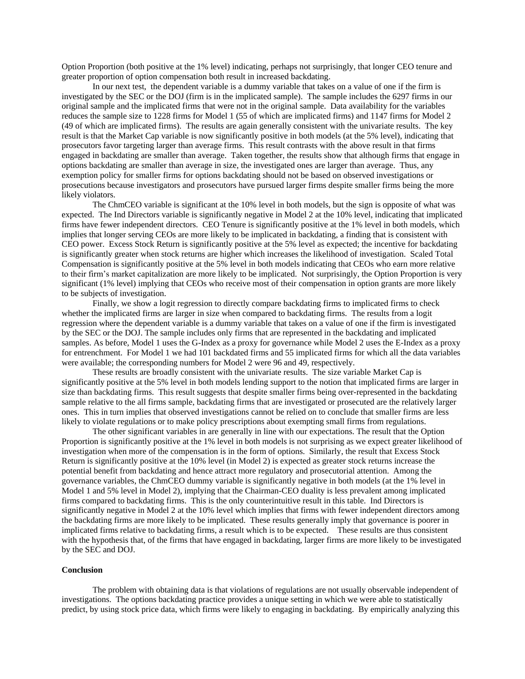Option Proportion (both positive at the 1% level) indicating, perhaps not surprisingly, that longer CEO tenure and greater proportion of option compensation both result in increased backdating.

In our next test, the dependent variable is a dummy variable that takes on a value of one if the firm is investigated by the SEC or the DOJ (firm is in the implicated sample). The sample includes the 6297 firms in our original sample and the implicated firms that were not in the original sample. Data availability for the variables reduces the sample size to 1228 firms for Model 1 (55 of which are implicated firms) and 1147 firms for Model 2 (49 of which are implicated firms). The results are again generally consistent with the univariate results. The key result is that the Market Cap variable is now significantly positive in both models (at the 5% level), indicating that prosecutors favor targeting larger than average firms. This result contrasts with the above result in that firms engaged in backdating are smaller than average. Taken together, the results show that although firms that engage in options backdating are smaller than average in size, the investigated ones are larger than average. Thus, any exemption policy for smaller firms for options backdating should not be based on observed investigations or prosecutions because investigators and prosecutors have pursued larger firms despite smaller firms being the more likely violators.

The ChmCEO variable is significant at the 10% level in both models, but the sign is opposite of what was expected. The Ind Directors variable is significantly negative in Model 2 at the 10% level, indicating that implicated firms have fewer independent directors. CEO Tenure is significantly positive at the 1% level in both models, which implies that longer serving CEOs are more likely to be implicated in backdating, a finding that is consistent with CEO power. Excess Stock Return is significantly positive at the 5% level as expected; the incentive for backdating is significantly greater when stock returns are higher which increases the likelihood of investigation. Scaled Total Compensation is significantly positive at the 5% level in both models indicating that CEOs who earn more relative to their firm's market capitalization are more likely to be implicated. Not surprisingly, the Option Proportion is very significant (1% level) implying that CEOs who receive most of their compensation in option grants are more likely to be subjects of investigation.

Finally, we show a logit regression to directly compare backdating firms to implicated firms to check whether the implicated firms are larger in size when compared to backdating firms. The results from a logit regression where the dependent variable is a dummy variable that takes on a value of one if the firm is investigated by the SEC or the DOJ. The sample includes only firms that are represented in the backdating and implicated samples. As before, Model 1 uses the G-Index as a proxy for governance while Model 2 uses the E-Index as a proxy for entrenchment. For Model 1 we had 101 backdated firms and 55 implicated firms for which all the data variables were available; the corresponding numbers for Model 2 were 96 and 49, respectively.

These results are broadly consistent with the univariate results. The size variable Market Cap is significantly positive at the 5% level in both models lending support to the notion that implicated firms are larger in size than backdating firms. This result suggests that despite smaller firms being over-represented in the backdating sample relative to the all firms sample, backdating firms that are investigated or prosecuted are the relatively larger ones. This in turn implies that observed investigations cannot be relied on to conclude that smaller firms are less likely to violate regulations or to make policy prescriptions about exempting small firms from regulations.

The other significant variables in are generally in line with our expectations. The result that the Option Proportion is significantly positive at the 1% level in both models is not surprising as we expect greater likelihood of investigation when more of the compensation is in the form of options. Similarly, the result that Excess Stock Return is significantly positive at the 10% level (in Model 2) is expected as greater stock returns increase the potential benefit from backdating and hence attract more regulatory and prosecutorial attention. Among the governance variables, the ChmCEO dummy variable is significantly negative in both models (at the 1% level in Model 1 and 5% level in Model 2), implying that the Chairman-CEO duality is less prevalent among implicated firms compared to backdating firms. This is the only counterintuitive result in this table. Ind Directors is significantly negative in Model 2 at the 10% level which implies that firms with fewer independent directors among the backdating firms are more likely to be implicated. These results generally imply that governance is poorer in implicated firms relative to backdating firms, a result which is to be expected. These results are thus consistent with the hypothesis that, of the firms that have engaged in backdating, larger firms are more likely to be investigated by the SEC and DOJ.

#### **Conclusion**

The problem with obtaining data is that violations of regulations are not usually observable independent of investigations. The options backdating practice provides a unique setting in which we were able to statistically predict, by using stock price data, which firms were likely to engaging in backdating. By empirically analyzing this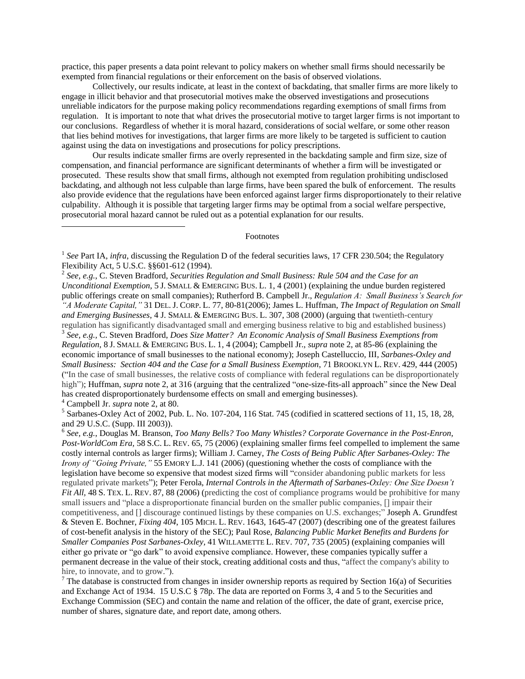practice, this paper presents a data point relevant to policy makers on whether small firms should necessarily be exempted from financial regulations or their enforcement on the basis of observed violations.

Collectively, our results indicate, at least in the context of backdating, that smaller firms are more likely to engage in illicit behavior and that prosecutorial motives make the observed investigations and prosecutions unreliable indicators for the purpose making policy recommendations regarding exemptions of small firms from regulation. It is important to note that what drives the prosecutorial motive to target larger firms is not important to our conclusions. Regardless of whether it is moral hazard, considerations of social welfare, or some other reason that lies behind motives for investigations, that larger firms are more likely to be targeted is sufficient to caution against using the data on investigations and prosecutions for policy prescriptions.

Our results indicate smaller firms are overly represented in the backdating sample and firm size, size of compensation, and financial performance are significant determinants of whether a firm will be investigated or prosecuted. These results show that small firms, although not exempted from regulation prohibiting undisclosed backdating, and although not less culpable than large firms, have been spared the bulk of enforcement. The results also provide evidence that the regulations have been enforced against larger firms disproportionately to their relative culpability. Although it is possible that targeting larger firms may be optimal from a social welfare perspective, prosecutorial moral hazard cannot be ruled out as a potential explanation for our results.

### Footnotes

 $\overline{a}$ 

<sup>&</sup>lt;sup>1</sup> See Part IA, *infra*, discussing the Regulation D of the federal securities laws, 17 CFR 230.504; the Regulatory Flexibility Act, 5 U.S.C. §§601-612 (1994).

<sup>2</sup> *See, e.g.*, C. Steven Bradford, *Securities Regulation and Small Business: Rule 504 and the Case for an Unconditional Exemption*, 5 J. SMALL & EMERGING BUS. L. 1, 4 (2001) (explaining the undue burden registered public offerings create on small companies); Rutherford B. Campbell Jr., *Regulation A: Small Business's Search for "A Moderate Capital,"* 31 DEL. J. CORP. L. 77, 80-81(2006); James L. Huffman, *The Impact of Regulation on Small* 

*and Emerging Businesses*, 4 J. SMALL & EMERGING BUS. L. 307, 308 (2000) (arguing that twentieth-century regulation has significantly disadvantaged small and emerging business relative to big and established business)

<sup>3</sup> *See, e.g.,* C. Steven Bradford, *Does Size Matter? An Economic Analysis of Small Business Exemptions from Regulation*, 8 J. SMALL & EMERGING BUS. L. 1, 4 (2004); Campbell Jr., *supra* note 2, at 85-86 (explaining the economic importance of small businesses to the national economy); Joseph Castelluccio, III*, Sarbanes-Oxley and Small Business: Section 404 and the Case for a Small Business Exemption*, 71 BROOKLYN L. REV. 429, 444 (2005) (―In the case of small businesses, the relative costs of compliance with federal regulations can be disproportionately high"); Huffman, *supra* note 2, at 316 (arguing that the centralized "one-size-fits-all approach" since the New Deal has created disproportionately burdensome effects on small and emerging businesses).

<sup>4</sup> Campbell Jr. *supra* note 2, at 80.

<sup>&</sup>lt;sup>5</sup> Sarbanes-Oxley Act of 2002, Pub. L. No. 107-204, 116 Stat. 745 (codified in scattered sections of 11, 15, 18, 28, and 29 U.S.C. (Supp. III 2003)).

<sup>6</sup> *See, e.g.*, Douglas M. Branson, *Too Many Bells? Too Many Whistles? Corporate Governance in the Post-Enron, Post-WorldCom Era,* 58 S.C. L. REV. 65, 75 (2006) (explaining smaller firms feel compelled to implement the same costly internal controls as larger firms); William J. Carney, *The Costs of Being Public After Sarbanes-Oxley: The Irony of "Going Private,"* 55 EMORY L.J. 141 (2006) (questioning whether the costs of compliance with the legislation have become so expensive that modest sized firms will "consider abandoning public markets for less regulated private markets"); Peter Ferola, *Internal Controls in the Aftermath of Sarbanes-Oxley: One Size Doesn't Fit All,* 48 S. TEX. L. REV. 87, 88 (2006) (predicting the cost of compliance programs would be prohibitive for many small issuers and "place a disproportionate financial burden on the smaller public companies, [] impair their competitiveness, and [] discourage continued listings by these companies on U.S. exchanges;" Joseph A. Grundfest & Steven E. Bochner, *Fixing 404*, 105 MICH. L. REV. 1643, 1645-47 (2007) (describing one of the greatest failures of cost-benefit analysis in the history of the SEC); Paul Rose, *Balancing Public Market Benefits and Burdens for Smaller Companies Post Sarbanes-Oxley,* 41 WILLAMETTE L. REV. 707, 735 (2005) (explaining companies will either go private or "go dark" to avoid expensive compliance. However, these companies typically suffer a permanent decrease in the value of their stock, creating additional costs and thus, "affect the company's ability to hire, to innovate, and to grow.").

<sup>&</sup>lt;sup>7</sup> The database is constructed from changes in insider ownership reports as required by Section 16(a) of Securities and Exchange Act of 1934. 15 U.S.C § 78p. The data are reported on Forms 3, 4 and 5 to the Securities and Exchange Commission (SEC) and contain the name and relation of the officer, the date of grant, exercise price, number of shares, signature date, and report date, among others.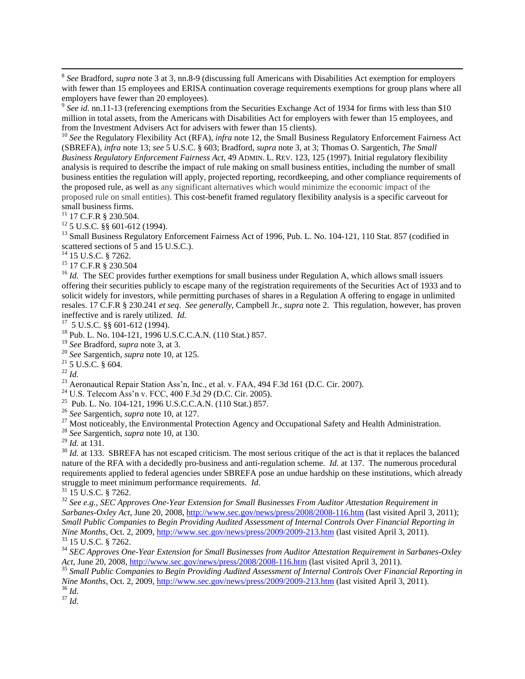8 *See* Bradford, *supra* note 3 at 3, nn.8-9 (discussing full Americans with Disabilities Act exemption for employers with fewer than 15 employees and ERISA continuation coverage requirements exemptions for group plans where all employers have fewer than 20 employees).

<sup>9</sup> See id. nn.11-13 (referencing exemptions from the Securities Exchange Act of 1934 for firms with less than \$10 million in total assets, from the Americans with Disabilities Act for employers with fewer than 15 employees, and from the Investment Advisers Act for advisers with fewer than 15 clients).

<sup>10</sup> See the Regulatory Flexibility Act (RFA), *infra* note 12, the Small Business Regulatory Enforcement Fairness Act (SBREFA), *infra* note 13; *see* 5 U.S.C. § 603; Bradford, *supra* note 3, at 3; Thomas O. Sargentich, *The Small Business Regulatory Enforcement Fairness Act*, 49 ADMIN. L. REV. 123, 125 (1997). Initial regulatory flexibility analysis is required to describe the impact of rule making on small business entities, including the number of small business entities the regulation will apply, projected reporting, recordkeeping, and other compliance requirements of the proposed rule, as well as any significant alternatives which would minimize the economic impact of the proposed rule on small entities). This cost-benefit framed regulatory flexibility analysis is a specific carveout for small business firms.

 $11$  17 C.F.R § 230.504.

 $12$  5 U.S.C. §§ 601-612 (1994).

<sup>13</sup> Small Business Regulatory Enforcement Fairness Act of 1996, Pub. L. No. 104-121, 110 Stat. 857 (codified in scattered sections of 5 and 15 U.S.C.).

<sup>14</sup> 15 U.S.C. § 7262.

<sup>15</sup> 17 C.F.R § 230.504

<sup>16</sup> *Id.* The SEC provides further exemptions for small business under Regulation A, which allows small issuers offering their securities publicly to escape many of the registration requirements of the Securities Act of 1933 and to solicit widely for investors, while permitting purchases of shares in a Regulation A offering to engage in unlimited resales. 17 C.F.R § 230.241 *et seq*.*See generally*, Campbell Jr., *supra* note 2. This regulation, however, has proven ineffective and is rarely utilized. *Id.*

17 5 U.S.C. §§ 601-612 (1994).

<sup>18</sup> Pub. L. No. 104-121, 1996 U.S.C.C.A.N. (110 Stat.) 857.

<sup>19</sup> *See* Bradford*, supra* note 3, at 3.

<sup>20</sup> *See* Sargentich, *supra* note 10, at 125.

 $21$  5 U.S.C. § 604.

<sup>22</sup> *Id.*

 $\overline{a}$ 

 $23$  Aeronautical Repair Station Ass'n, Inc., et al. v. FAA, 494 F.3d 161 (D.C. Cir. 2007).

<sup>24</sup> U.S. Telecom Ass'n v. FCC, 400 F.3d 29 (D.C. Cir. 2005).

25 Pub. L. No. 104-121, 1996 U.S.C.C.A.N. (110 Stat.) 857.

<sup>26</sup> *See* Sargentich, *supra* note 10, at 127.

<sup>27</sup> Most noticeably, the Environmental Protection Agency and Occupational Safety and Health Administration.

<sup>28</sup> *See* Sargentich, *supra* note 10, at 130.

<sup>29</sup> *Id.* at 131.

<sup>30</sup> *Id.* at 133. SBREFA has not escaped criticism. The most serious critique of the act is that it replaces the balanced nature of the RFA with a decidedly pro-business and anti-regulation scheme. *Id.* at 137. The numerous procedural requirements applied to federal agencies under SBREFA pose an undue hardship on these institutions, which already struggle to meet minimum performance requirements. *Id.*

 $31$  15 U.S.C. § 7262.

<sup>32</sup> *See e.g., SEC Approves One-Year Extension for Small Businesses From Auditor Attestation Requirement in Sarbanes-Oxley Act*, June 20, 2008[, http://www.sec.gov/news/press/2008/2008-116.htm](http://www.sec.gov/news/press/2008/2008-116.htm) (last visited April 3, 2011); *Small Public Companies to Begin Providing Audited Assessment of Internal Controls Over Financial Reporting in Nine Months*, Oct. 2, 2009,<http://www.sec.gov/news/press/2009/2009-213.htm> (last visited April 3, 2011). <sup>33</sup> 15 U.S.C. § 7262.

<sup>34</sup> *SEC Approves One-Year Extension for Small Businesses from Auditor Attestation Requirement in Sarbanes-Oxley Act*, June 20, 2008,<http://www.sec.gov/news/press/2008/2008-116.htm> (last visited April 3, 2011).

<sup>35</sup> *Small Public Companies to Begin Providing Audited Assessment of Internal Controls Over Financial Reporting in Nine Months*, Oct. 2, 2009,<http://www.sec.gov/news/press/2009/2009-213.htm> (last visited April 3, 2011). <sup>36</sup> *Id.*

<sup>37</sup> *Id.*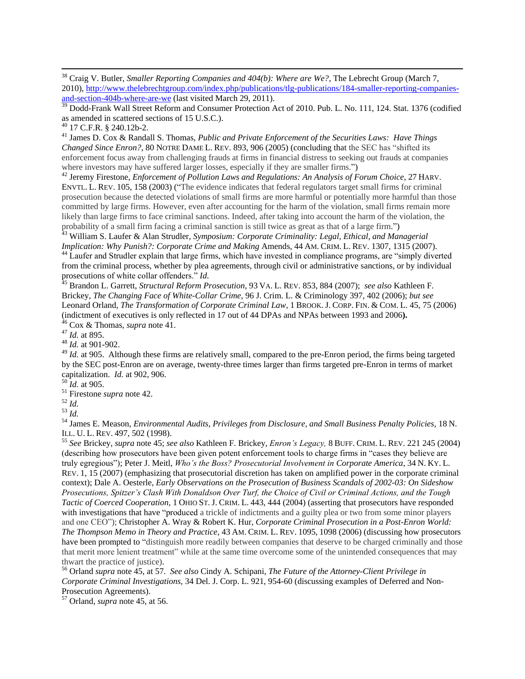<sup>39</sup> Dodd-Frank Wall Street Reform and Consumer Protection Act of 2010. Pub. L. No. 111, 124. Stat. 1376 (codified as amended in scattered sections of 15 U.S.C.).

 $\overline{a}$ 

<sup>41</sup> James D. Cox & Randall S. Thomas, *Public and Private Enforcement of the Securities Laws: Have Things Changed Since Enron?*, 80 NOTRE DAME L. REV. 893, 906 (2005) (concluding that the SEC has "shifted its enforcement focus away from challenging frauds at firms in financial distress to seeking out frauds at companies where investors may have suffered larger losses, especially if they are smaller firms.")

<sup>42</sup> Jeremy Firestone, *Enforcement of Pollution Laws and Regulations: An Analysis of Forum Choice*, 27 HARV. ENVTL. L. REV. 105, 158 (2003) ("The evidence indicates that federal regulators target small firms for criminal prosecution because the detected violations of small firms are more harmful or potentially more harmful than those committed by large firms. However, even after accounting for the harm of the violation, small firms remain more likely than large firms to face criminal sanctions. Indeed, after taking into account the harm of the violation, the probability of a small firm facing a criminal sanction is still twice as great as that of a large firm.")

<sup>43</sup> William S. Laufer & Alan Strudler, *Symposium: Corporate Criminality: Legal, Ethical, and Managerial Implication: Why Punish?: Corporate Crime and Making Amends, 44 AM. CRIM. L. REV.* 1307, 1315 (2007).

<sup>44</sup> Laufer and Strudler explain that large firms, which have invested in compliance programs, are "simply diverted from the criminal process, whether by plea agreements, through civil or administrative sanctions, or by individual prosecutions of white collar offenders." *Id*.

<sup>45</sup> Brandon L. Garrett, *Structural Reform Prosecution*, 93 VA. L. REV. 853, 884 (2007); *see also* Kathleen F. Brickey, *The Changing Face of White-Collar Crime,* 96 J. Crim. L. & Criminology 397, 402 (2006); *but see*  Leonard Orland, *The Transformation of Corporate Criminal Law*, 1 BROOK. J. CORP. FIN. & COM. L. 45, 75 (2006) (indictment of executives is only reflected in 17 out of 44 DPAs and NPAs between 1993 and 2006**).**  <sup>46</sup> Cox & Thomas, *supra* note 41.

<sup>47</sup> *Id.* at 895.

<sup>48</sup> *Id.* at 901-902.

<sup>49</sup> *Id.* at 905. Although these firms are relatively small, compared to the pre-Enron period, the firms being targeted by the SEC post-Enron are on average, twenty-three times larger than firms targeted pre-Enron in terms of market capitalization. *Id.* at 902, 906.

<sup>50</sup> *Id.* at 905.

<sup>51</sup> Firestone *supra* note 42.

<sup>52</sup> *Id.*

<sup>53</sup> *Id.*

<sup>54</sup> James E. Meason, *Environmental Audits, Privileges from Disclosure, and Small Business Penalty Policies*, 18 N. ILL. U. L. REV. 497, 502 (1998).

<sup>55</sup> *See* Brickey, *supra* note 45; *see also* Kathleen F. Brickey, *Enron's Legacy,* 8 BUFF. CRIM. L. REV. 221 245 (2004) (describing how prosecutors have been given potent enforcement tools to charge firms in "cases they believe are truly egregious‖); Peter J. Meitl, *Who's the Boss? Prosecutorial Involvement in Corporate America*, 34 N. KY. L. REV. 1, 15 (2007) (emphasizing that prosecutorial discretion has taken on amplified power in the corporate criminal context); Dale A. Oesterle, *Early Observations on the Prosecution of Business Scandals of 2002-03: On Sideshow Prosecutions, Spitzer's Clash With Donaldson Over Turf, the Choice of Civil or Criminal Actions, and the Tough Tactic of Coerced Cooperation,* 1 OHIO ST. J. CRIM. L. 443, 444 (2004) (asserting that prosecutors have responded with investigations that have "produced a trickle of indictments and a guilty plea or two from some minor players and one CEO"); Christopher A. Wray & Robert K. Hur, *Corporate Criminal Prosecution in a Post-Enron World: The Thompson Memo in Theory and Practice*, 43 AM. CRIM. L. REV. 1095, 1098 (2006) (discussing how prosecutors have been prompted to "distinguish more readily between companies that deserve to be charged criminally and those that merit more lenient treatment" while at the same time overcome some of the unintended consequences that may thwart the practice of justice).

<sup>56</sup> Orland *supra* note 45, at 57. *See also* Cindy A. Schipani, *The Future of the Attorney-Client Privilege in Corporate Criminal Investigations*, 34 Del. J. Corp. L. 921, 954-60 (discussing examples of Deferred and Non-Prosecution Agreements).

<sup>57</sup> Orland, *supra* note 45, at 56.

<sup>38</sup> Craig V. Butler, *Smaller Reporting Companies and 404(b): Where are We?*, The Lebrecht Group (March 7, 2010), [http://www.thelebrechtgroup.com/index.php/publications/tlg-publications/184-smaller-reporting-companies](http://www.thelebrechtgroup.com/index.php/publications/tlg-publications/184-smaller-reporting-companies-and-section-404b-where-are-we)[and-section-404b-where-are-we](http://www.thelebrechtgroup.com/index.php/publications/tlg-publications/184-smaller-reporting-companies-and-section-404b-where-are-we) (last visited March 29, 2011).

 $^{40}$  17 C.F.R. § 240.12b-2.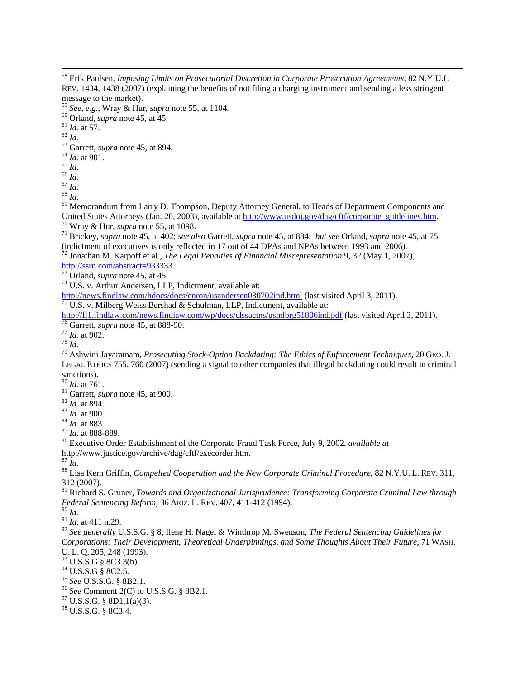$\overline{a}$ 

 Erik Paulsen, *Imposing Limits on Prosecutorial Discretion in Corporate Prosecution Agreements*, 82 N.Y.U.L REV. 1434, 1438 (2007) (explaining the benefits of not filing a charging instrument and sending a less stringent message to the market). *See, e.g.*, Wray & Hur, *supra* note 55, at 1104. Orland, *supra* note 45, at 45.  $^{61}$  *Id.* at 57. *Id.* Garrett, *supra* note 45, at 894. *Id.* at 901. *Id.*  $66 \frac{1}{10}$  *Id. Id.* <sup>69</sup> Memorandum from Larry D. Thompson, Deputy Attorney General, to Heads of Department Components and United States Attorneys (Jan. 20, 2003), available at http://www.usdoi.gov/dag/cftf/corporate\_guidelines.htm. Wray & Hur, *supra* note 55, at 1098. Brickey, *supra* note 45*,* at 402; *see also* Garrett, *supra* note 45, at 884; *but see* Orland, *supra* note 45, at 75 (indictment of executives is only reflected in 17 out of 44 DPAs and NPAs between 1993 and 2006). Jonathan M. Karpoff et al., *The Legal Penalties of Financial Misrepresentation* 9, 32 (May 1, 2007), [http://ssrn.com/abstract=933333.](http://ssrn.com/abstract=933333) Orland, *supra* note 45, at 45. U.S. v. Arthur Andersen, LLP, Indictment, available at: <http://news.findlaw.com/hdocs/docs/enron/usandersen030702ind.html> (last visited April 3, 2011). <sup>75</sup> U.S. v. Milberg Weiss Bershad & Schulman, LLP, Indictment, available at: <http://fl1.findlaw.com/news.findlaw.com/wp/docs/clssactns/usmlbrg51806ind.pdf> (last visited April 3, 2011). Garrett, *supra* note 45, at 888-90. *Id.* at 902. *Id.* Ashwini Jayaratnam, *Prosecuting Stock-Option Backdating: The Ethics of Enforcement Techniques*, 20 GEO. J. LEGAL ETHICS 755, 760 (2007) (sending a signal to other companies that illegal backdating could result in criminal sanctions). *Id.* at 761. Garrett, *supra* note 45, at 900. *Id.* at 894. *Id.* at 900. *Id.* at 883. *Id.* at 888-889. Executive Order Establishment of the Corporate Fraud Task Force, July 9, 2002, *available at*  http://www.justice.gov/archive/dag/cftf/execorder.htm.  $\bar{I}d$ . Lisa Kern Griffin, *Compelled Cooperation and the New Corporate Criminal Procedure,* 82 N.Y.U. L. REV. 311, 312 (2007). Richard S. Gruner, *Towards and Organizational Jurisprudence: Transforming Corporate Criminal Law through Federal Sentencing Reform*, 36 ARIZ. L. REV. 407, 411-412 (1994). *Id. Id.* at 411 n.29. *See generally* U.S.S.G. § 8; Ilene H. Nagel & Winthrop M. Swenson, *The Federal Sentencing Guidelines for Corporations: Their Development, Theoretical Underpinnings, and Some Thoughts About Their Future,* 71 WASH. U. L. Q. 205, 248 (1993). U.S.S.G § 8C3.3(b). U.S.S.G § 8C2.5. *See* U.S.S.G. § 8B2.1. *See* Comment 2(C) to U.S.S.G. § 8B2.1. U.S.S.G. § 8D1.1(a)(3). U.S.S.G. § 8C3.4.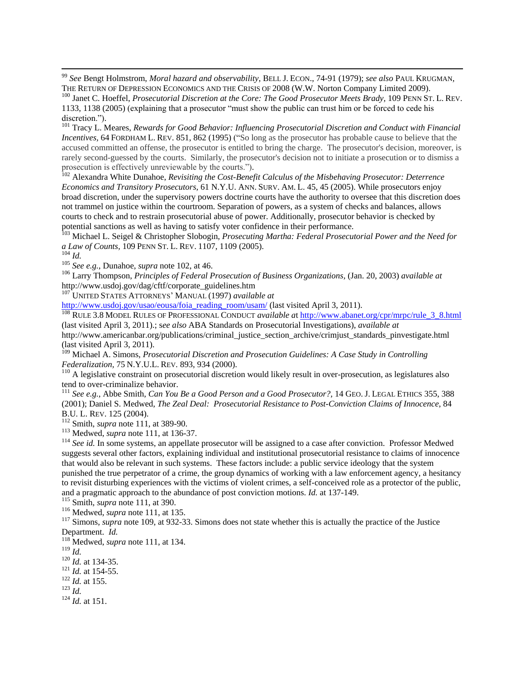<sup>99</sup> *See* Bengt Holmstrom, *Moral hazard and observability*, BELL J. ECON., 74-91 (1979); *see also* PAUL KRUGMAN, THE RETURN OF DEPRESSION ECONOMICS AND THE CRISIS OF 2008 (W.W. Norton Company Limited 2009).

<sup>100</sup> Janet C. Hoeffel, *Prosecutorial Discretion at the Core: The Good Prosecutor Meets Brady*, 109 PENN ST. L. REV. 1133, 1138 (2005) (explaining that a prosecutor "must show the public can trust him or be forced to cede his discretion.").

<sup>101</sup> Tracy L. Meares, *Rewards for Good Behavior: Influencing Prosecutorial Discretion and Conduct with Financial Incentives, 64* FORDHAM L. REV. 851, 862 (1995) ("So long as the prosecutor has probable cause to believe that the accused committed an offense, the prosecutor is entitled to bring the charge. The prosecutor's decision, moreover, is rarely second-guessed by the courts. Similarly, the prosecutor's decision not to initiate a prosecution or to dismiss a prosecution is effectively unreviewable by the courts.").

<sup>102</sup> Alexandra White Dunahoe, *Revisiting the Cost-Benefit Calculus of the Misbehaving Prosecutor: Deterrence Economics and Transitory Prosecutors,* 61 N.Y.U. ANN. SURV. AM. L. 45, 45 (2005). While prosecutors enjoy broad discretion, under the supervisory powers doctrine courts have the authority to oversee that this discretion does not trammel on justice within the courtroom. Separation of powers, as a system of checks and balances, allows courts to check and to restrain prosecutorial abuse of power. Additionally, prosecutor behavior is checked by potential sanctions as well as having to satisfy voter confidence in their performance.

<sup>103</sup> Michael L. Seigel & Christopher Slobogin, *Prosecuting Martha: Federal Prosecutorial Power and the Need for a Law of Counts,* 109 PENN ST. L. REV. 1107, 1109 (2005).

<sup>104</sup> *Id.*

 $\overline{a}$ 

<sup>105</sup> *See e.g.*, Dunahoe, *supra* note 102, at 46.

<sup>106</sup> Larry Thompson, *Principles of Federal Prosecution of Business Organizations,* (Jan. 20, 2003) *available at*  http://www.usdoj.gov/dag/cftf/corporate\_guidelines.htm

<sup>107</sup> UNITED STATES ATTORNEYS' MANUAL (1997) *available at*

[http://www.usdoj.gov/usao/eousa/foia\\_reading\\_room/usam/](http://www.usdoj.gov/usao/eousa/foia_reading_room/usam/) (last visited April 3, 2011).

<sup>108</sup> RULE 3.8 MODEL RULES OF PROFESSIONAL CONDUCT *available a*t [http://www.abanet.org/cpr/mrpc/rule\\_3\\_8.html](http://www.abanet.org/cpr/mrpc/rule_3_8.html) (last visited April 3, 2011).; s*ee also* ABA Standards on Prosecutorial Investigations), *available at*

http://www.americanbar.org/publications/criminal\_justice\_section\_archive/crimjust\_standards\_pinvestigate.html (last visited April 3, 2011).

<sup>109</sup> Michael A. Simons, *Prosecutorial Discretion and Prosecution Guidelines: A Case Study in Controlling Federalization,* 75 N.Y.U.L. REV. 893, 934 (2000).

 $110$  A legislative constraint on prosecutorial discretion would likely result in over-prosecution, as legislatures also tend to over-criminalize behavior.

<sup>111</sup> *See e.g.*, Abbe Smith, *Can You Be a Good Person and a Good Prosecutor?,* 14 GEO. J. LEGAL ETHICS 355, 388 (2001); Daniel S. Medwed, *The Zeal Deal: Prosecutorial Resistance to Post-Conviction Claims of Innocence*, 84 B.U. L. REV. 125 (2004).

<sup>112</sup> Smith, *supra* note 111, at 389-90.

<sup>113</sup> Medwed, *supra* note 111, at 136-37.

<sup>114</sup> See id. In some systems, an appellate prosecutor will be assigned to a case after conviction. Professor Medwed suggests several other factors, explaining individual and institutional prosecutorial resistance to claims of innocence that would also be relevant in such systems. These factors include: a public service ideology that the system punished the true perpetrator of a crime, the group dynamics of working with a law enforcement agency, a hesitancy to revisit disturbing experiences with the victims of violent crimes, a self-conceived role as a protector of the public, and a pragmatic approach to the abundance of post conviction motions. *Id.* at 137-149.

<sup>115</sup> Smith, *supra* note 111, at 390.

<sup>116</sup> Medwed, *supra* note 111, at 135.

<sup>117</sup> Simons, *supra* note 109, at 932-33. Simons does not state whether this is actually the practice of the Justice Department. *Id.*

<sup>118</sup> Medwed, *supra* note 111, at 134.

<sup>119</sup> *Id.*

<sup>120</sup> *Id.* at 134-35.

 $121$  *Id.* at 154-55.

<sup>122</sup> *Id.* at 155.

<sup>123</sup> *Id.*

 $124$  *Id.* at 151.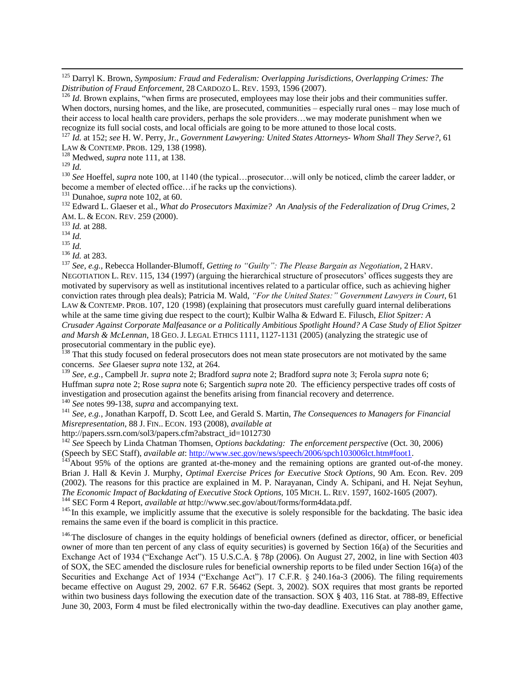<sup>125</sup> Darryl K. Brown, *Symposium: Fraud and Federalism: Overlapping Jurisdictions, Overlapping Crimes: The Distribution of Fraud Enforcement*, 28 CARDOZO L. REV. 1593, 1596 (2007).

 $126$  *Id*. Brown explains, "when firms are prosecuted, employees may lose their jobs and their communities suffer. When doctors, nursing homes, and the like, are prosecuted, communities – especially rural ones – may lose much of their access to local health care providers, perhaps the sole providers…we may moderate punishment when we recognize its full social costs, and local officials are going to be more attuned to those local costs.

<sup>127</sup> *Id.* at 152; *see* H. W. Perry, Jr., *Government Lawyering: United States Attorneys- Whom Shall They Serve?,* 61 LAW & CONTEMP. PROB. 129, 138 (1998).

<sup>128</sup> Medwed, *supra* note 111, at 138.

<sup>129</sup> *Id.*

 $\overline{a}$ 

<sup>130</sup> See Hoeffel, *supra* note 100, at 1140 (the typical...prosecutor...will only be noticed, climb the career ladder, or become a member of elected office…if he racks up the convictions).

<sup>131</sup> Dunahoe, *supra* note 102, at 60.

<sup>132</sup> Edward L. Glaeser et al., *What do Prosecutors Maximize? An Analysis of the Federalization of Drug Crimes,* 2 AM. L. & ECON. REV. 259 (2000).

<sup>133</sup> *Id.* at 288.

 $134 \over 1 d.$ 

 $^{135}$  *Id.* 

<sup>136</sup> *Id.* at 283.

<sup>137</sup> *See, e.g.,* Rebecca Hollander-Blumoff, *Getting to "Guilty": The Please Bargain as Negotiation*, 2 HARV. NEGOTIATION L. REV. 115, 134 (1997) (arguing the hierarchical structure of prosecutors' offices suggests they are motivated by supervisory as well as institutional incentives related to a particular office, such as achieving higher conviction rates through plea deals); Patricia M. Wald, *"For the United States:" Government Lawyers in Court*, 61 LAW & CONTEMP. PROB. 107, 120 (1998) (explaining that prosecutors must carefully guard internal deliberations while at the same time giving due respect to the court); Kulbir Walha & Edward E. Filusch, *Eliot Spitzer: A Crusader Against Corporate Malfeasance or a Politically Ambitious Spotlight Hound? A Case Study of Eliot Spitzer and Marsh & McLennan*, 18 GEO. J. LEGAL ETHICS 1111, 1127-1131 (2005) (analyzing the strategic use of prosecutorial commentary in the public eye).

<sup>138</sup> That this study focused on federal prosecutors does not mean state prosecutors are not motivated by the same concerns. *See* Glaeser *supra* note 132, at 264.

<sup>139</sup> *See, e.g.*, Campbell Jr. *supra* note 2; Bradford *supra* note 2; Bradford *supra* note 3; Ferola *supra* note 6; Huffman *supra* note 2; Rose *supra* note 6; Sargentich *supra* note 20. The efficiency perspective trades off costs of investigation and prosecution against the benefits arising from financial recovery and deterrence.

<sup>140</sup> *See* notes 99-138, *supra* and accompanying text.

<sup>141</sup> *See, e.g.*, Jonathan Karpoff, D. Scott Lee, and Gerald S. Martin, *The Consequences to Managers for Financial Misrepresentation*, 88 J. FIN.. ECON. 193 (2008), *available at*

http://papers.ssrn.com/sol3/papers.cfm?abstract\_id=1012730

<sup>142</sup> *See* Speech by Linda Chatman Thomsen, *Options backdating: The enforcement perspective* (Oct. 30, 2006) (Speech by SEC Staff), *available at*: [http://www.sec.gov/news/speech/2006/spch103006lct.htm#foot1.](http://www.sec.gov/news/speech/2006/spch103006lct.htm#foot1) 

<sup>143</sup>About 95% of the options are granted at-the-money and the remaining options are granted out-of-the money. Brian J. Hall & Kevin J. Murphy, *Optimal Exercise Prices for Executive Stock Options*, 90 Am. Econ. Rev. 209 (2002). The reasons for this practice are explained in M. P. Narayanan, Cindy A. Schipani, and H. Nejat Seyhun, *The Economic Impact of Backdating of Executive Stock Options*, 105 MICH. L. REV. 1597, 1602-1605 (2007).

<sup>144</sup> SEC Form 4 Report, *available at* http://www.sec.gov/about/forms/form4data.pdf.

<sup>145.</sup> In this example, we implicitly assume that the executive is solely responsible for the backdating. The basic idea remains the same even if the board is complicit in this practice.

 $146$ The disclosure of changes in the equity holdings of beneficial owners (defined as director, officer, or beneficial owner of more than ten percent of any class of equity securities) is governed by Section 16(a) of the Securities and Exchange Act of 1934 ("Exchange Act"). 15 U.S.C.A. § 78p (2006). On August 27, 2002, in line with Section 403 of SOX, the SEC amended the disclosure rules for beneficial ownership reports to be filed under Section 16(a) of the Securities and Exchange Act of 1934 ("Exchange Act"). 17 C.F.R.  $\&$  240.16a-3 (2006). The filing requirements became effective on August 29, 2002. 67 F.R. 56462 (Sept. 3, 2002). SOX requires that most grants be reported within two business days following the execution date of the transaction. SOX § 403, 116 Stat. at 788-89. Effective June 30, 2003, Form 4 must be filed electronically within the two-day deadline. Executives can play another game,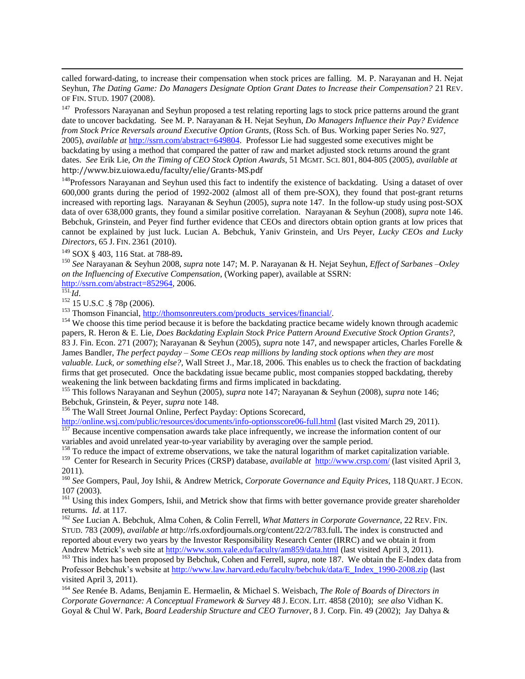called forward-dating, to increase their compensation when stock prices are falling. M. P. Narayanan and H. Nejat Seyhun, *The Dating Game: Do Managers Designate Option Grant Dates to Increase their Compensation?* 21 REV. OF FIN. STUD. 1907 (2008).

<sup>147</sup> Professors Narayanan and Seyhun proposed a test relating reporting lags to stock price patterns around the grant date to uncover backdating. See M. P. Narayanan & H. Nejat Seyhun, *Do Managers Influence their Pay? Evidence from Stock Price Reversals around Executive Option Grants,* (Ross Sch. of Bus. Working paper Series No. 927, 2005), *available at* [http://ssrn.com/abstract=649804.](http://ssrn.com/abstract=649804) Professor Lie had suggested some executives might be backdating by using a method that compared the patter of raw and market adjusted stock returns around the grant dates. *See* Erik Lie, *On the Timing of CEO Stock Option Awards*, 51 MGMT. SCI. 801, 804-805 (2005), *available at* http://www.biz.uiowa.edu/faculty/elie/Grants-MS.pdf

<sup>148</sup>Professors Narayanan and Seyhun used this fact to indentify the existence of backdating. Using a dataset of over 600,000 grants during the period of 1992-2002 (almost all of them pre-SOX), they found that post-grant returns increased with reporting lags. Narayanan & Seyhun (2005), *supr*a note 147. In the follow-up study using post-SOX data of over 638,000 grants, they found a similar positive correlation. Narayanan & Seyhun (2008), *supra* note 146. Bebchuk, Grinstein, and Peyer find further evidence that CEOs and directors obtain option grants at low prices that cannot be explained by just luck. Lucian A. Bebchuk, Yaniv Grinstein, and Urs Peyer, *Lucky CEOs and Lucky Directors*, 65 J. FIN. 2361 (2010).

<sup>149</sup> SOX § 403, 116 Stat. at 788-89**.**

<sup>150</sup> *See* Narayanan & Seyhun 2008, *supra* note 147; M. P. Narayanan & H. Nejat Seyhun, *Effect of Sarbanes –Oxley on the Influencing of Executive Compensation*, (Working paper), available at SSRN: [http://ssrn.com/abstract=852964,](http://ssrn.com/abstract=649804) 2006. 151. *Id*.

 $\overline{a}$ 

 $^{141}$ .<br><sup>152</sup> 15 U.S.C .§ 78p (2006).

 $153$  Thomson Financial[, http://thomsonreuters.com/products\\_services/financial/.](http://thomsonreuters.com/products_services/financial/)

<sup>154</sup> We choose this time period because it is before the backdating practice became widely known through academic papers, R. Heron & E. Lie, *Does Backdating Explain Stock Price Pattern Around Executive Stock Option Grants?*, 83 J. Fin. Econ. 271 (2007); Narayanan & Seyhun (2005), *supra* note 147, and newspaper articles, Charles Forelle & James Bandler, *The perfect payday – Some CEOs reap millions by landing stock options when they are most valuable. Luck, or something else?,* Wall Street J., Mar.18, 2006. This enables us to check the fraction of backdating firms that get prosecuted. Once the backdating issue became public, most companies stopped backdating, thereby weakening the link between backdating firms and firms implicated in backdating*.*

<sup>155</sup> This follows Narayanan and Seyhun (2005)*, supra* note 147; Narayanan & Seyhun (2008), *supra* note 146; Bebchuk, Grinstein, & Peyer, *supra* note 148.

<sup>156</sup> The Wall Street Journal Online, Perfect Payday: Options Scorecard,

<http://online.wsj.com/public/resources/documents/info-optionsscore06-full.html> (last visited March 29, 2011).

<sup>157</sup> Because incentive compensation awards take place infrequently, we increase the information content of our variables and avoid unrelated year-to-year variability by averaging over the sample period.

<sup>158</sup> To reduce the impact of extreme observations, we take the natural logarithm of market capitalization variable.

<sup>159</sup> Center for Research in Security Prices (CRSP) database, *available at* <http://www.crsp.com/> (last visited April 3, 2011).

<sup>160</sup> *See* Gompers, Paul, Joy Ishii, & Andrew Metrick, *Corporate Governance and Equity Prices*, 118 QUART. J ECON. 107 (2003).

<sup>161</sup> Using this index Gompers, Ishii, and Metrick show that firms with better governance provide greater shareholder returns. *Id*. at 117.

<sup>162</sup> *See* Lucian A. Bebchuk, Alma Cohen, & Colin Ferrell, *What Matters in Corporate Governance*, 22 REV. FIN. STUD. 783 (2009), *available at* http://rfs.oxfordjournals.org/content/22/2/783.full**.** The index is constructed and reported about every two years by the Investor Responsibility Research Center (IRRC) and we obtain it from Andrew Metrick's web site at<http://www.som.yale.edu/faculty/am859/data.html> (last visited April 3, 2011).

<sup>163</sup> This index has been proposed by Bebchuk, Cohen and Ferrell, *supra*, note 187. We obtain the E-Index data from Professor Bebchuk's website at [http://www.law.harvard.edu/faculty/bebchuk/data/E\\_Index\\_1990-2008.zip](http://www.law.harvard.edu/faculty/bebchuk/data/E_Index_1990-2008.zip) (last visited April 3, 2011).

<sup>164</sup> *See* Renée B. Adams, Benjamin E. Hermaelin, & Michael S. Weisbach, *The Role of Boards of Directors in Corporate Governance: A Conceptual Framework & Survey* 48 J. ECON. LIT. 4858 (2010); *see also* Vidhan K. Goyal & Chul W. Park, *Board Leadership Structure and CEO Turnover*, 8 J. Corp. Fin. 49 (2002); Jay Dahya &